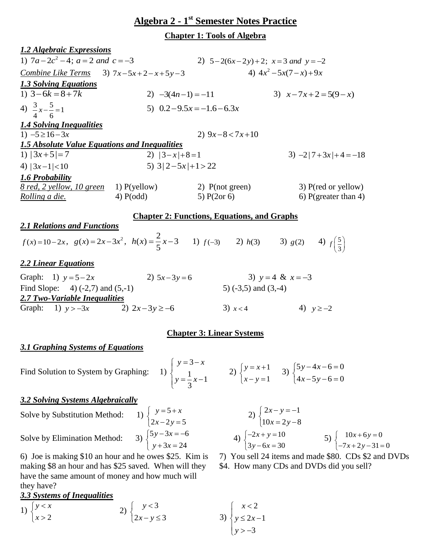# **Algebra 2 - 1 st Semester Notes Practice**

**Chapter 1: Tools of Algebra**

| <b>1.2 Algebraic Expressions</b>                                                                         |                                                         |                                                                                                                                                              |                                                            |  |
|----------------------------------------------------------------------------------------------------------|---------------------------------------------------------|--------------------------------------------------------------------------------------------------------------------------------------------------------------|------------------------------------------------------------|--|
| 1) $7a-2c^2-4$ ; $a=2$ and $c=-3$                                                                        |                                                         | 2) $5-2(6x-2y)+2$ ; $x=3$ and $y=-2$                                                                                                                         |                                                            |  |
| Combine Like Terms 3) $7x-5x+2-x+5y-3$                                                                   |                                                         |                                                                                                                                                              | 4) $4x^2-5x(7-x)+9x$                                       |  |
| <b>1.3 Solving Equations</b>                                                                             |                                                         |                                                                                                                                                              |                                                            |  |
| 1) $3-6k = 8+7k$                                                                                         | 2) $-3(4n-1) = -11$                                     |                                                                                                                                                              | 3) $x-7x+2=5(9-x)$                                         |  |
| 4) $\frac{3}{4}x-\frac{5}{6}=1$                                                                          |                                                         | 5) $0.2 - 9.5x = -1.6 - 6.3x$                                                                                                                                |                                                            |  |
| <b>1.4 Solving Inequalities</b>                                                                          |                                                         |                                                                                                                                                              |                                                            |  |
| 1) $-5 \ge 16 - 3x$                                                                                      |                                                         | 2) $9x-8 < 7x+10$                                                                                                                                            |                                                            |  |
| <b>1.5 Absolute Value Equations and Inequalities</b>                                                     |                                                         |                                                                                                                                                              |                                                            |  |
| 1) $ 3x+5 =7$                                                                                            | 2) $ 3-x +8=1$                                          |                                                                                                                                                              | $3) -2 7+3x +4=-18$                                        |  |
| 4) $ 3x-1 $ < 10                                                                                         | 5) $3 2-5x +1>22$                                       |                                                                                                                                                              |                                                            |  |
| 1.6 Probability                                                                                          |                                                         |                                                                                                                                                              |                                                            |  |
| $8 \text{ red}, 2 \text{ yellow}, 10 \text{ green}$ 1) P(yellow) 2) P(not green)                         | $4)$ P(odd)                                             |                                                                                                                                                              | $3)$ P(red or yellow)                                      |  |
| <u>Rolling a die.</u>                                                                                    |                                                         | 5) $P(2or 6)$                                                                                                                                                | 6) P(greater than 4)                                       |  |
|                                                                                                          |                                                         | <b>Chapter 2: Functions, Equations, and Graphs</b>                                                                                                           |                                                            |  |
| <b>2.1 Relations and Functions</b>                                                                       |                                                         |                                                                                                                                                              |                                                            |  |
| $f(x)=10-2x$ , $g(x)=2x-3x^2$ , $h(x)=\frac{2}{5}x-3$ 1) $f(-3)$ 2) $h(3)$ 3) $g(2)$ 4) $f(\frac{5}{3})$ |                                                         |                                                                                                                                                              |                                                            |  |
| <b>2.2 Linear Equations</b>                                                                              |                                                         |                                                                                                                                                              |                                                            |  |
| Graph: 1) $y = 5 - 2x$                                                                                   | 2) $5x-3y=6$                                            | 3) $y = 4$ & $x = -3$                                                                                                                                        |                                                            |  |
| Find Slope: $4)$ (-2,7) and (5,-1)                                                                       |                                                         | 5) $(-3,5)$ and $(3,-4)$                                                                                                                                     |                                                            |  |
| 2.7 Two-Variable Inequalities                                                                            |                                                         |                                                                                                                                                              |                                                            |  |
| Graph: 1) $y > -3x$ 2) $2x-3y \ge -6$                                                                    |                                                         |                                                                                                                                                              | 3) $x < 4$ 4) $y \ge -2$                                   |  |
|                                                                                                          |                                                         | <b>Chapter 3: Linear Systems</b>                                                                                                                             |                                                            |  |
|                                                                                                          |                                                         |                                                                                                                                                              |                                                            |  |
| <b>3.1 Graphing Systems of Equations</b>                                                                 |                                                         |                                                                                                                                                              |                                                            |  |
| Find Solution to System by Graphing:                                                                     |                                                         | 1) $\begin{cases} y=3-x \\ y=\frac{1}{2}x-1 \end{cases}$ 2) $\begin{cases} y=x+1 \\ x-y=1 \end{cases}$ 3) $\begin{cases} 5y-4x-6=0 \\ 4x-5y-6=0 \end{cases}$ |                                                            |  |
| <b>3.2 Solving Systems Algebraically</b>                                                                 |                                                         |                                                                                                                                                              |                                                            |  |
| Solve by Substitution Method:                                                                            | 1) $\begin{cases} y = 3 + x \\ 2x - 2y = 5 \end{cases}$ |                                                                                                                                                              | 2) $\begin{cases} 2x - y = -1 \\ 10x = 2y - 8 \end{cases}$ |  |

 $5y - 3x = -6$  $3x = 24$ 

 $y - 3x$  $y + 3x$  $\int 5y-3x = -6$  $\begin{cases} x + 3x = 2 \end{cases}$ 

Solve by Elimination Method:

6) Joe is making \$10 an hour and he owes \$25. Kim is making \$8 an hour and has \$25 saved. When will they have the same amount of money and how much will they have?

# *3.3 Systems of Inequalities*

1) 
$$
\begin{cases} y < x \\ x > 2 \end{cases}
$$
2) 
$$
\begin{cases} y < 3 \\ 2x - y \le 3 \end{cases}
$$

$$
2) \begin{cases} 2x - y = -1 \\ 10x = 2y - 8 \end{cases}
$$
  
4) 
$$
\begin{cases} -2x + y = 10 \\ 3y - 6x = 30 \end{cases}
$$
  
5) 
$$
\begin{cases} 10x + 6y = 0 \\ -7x + 2y - 31 = 0 \end{cases}
$$

7) You sell 24 items and made \$80. CDs \$2 and DVDs \$4. How many CDs and DVDs did you sell?

$$
3) \begin{cases} x < 2 \\ y \le 2x - 1 \\ y > -3 \end{cases}
$$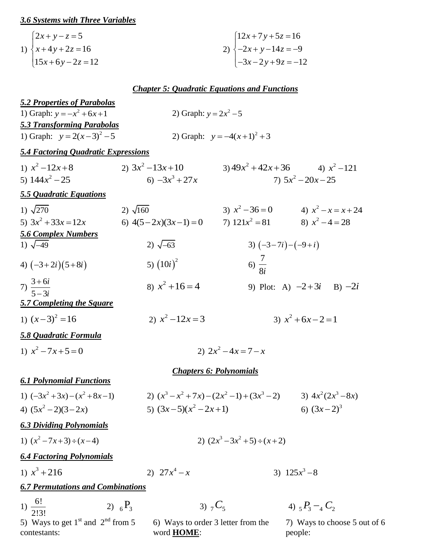### *3.6 Systems with Three Variables*

| $2x+y-z=5$        | $\left(12x+7y+5z=16\right)$  |
|-------------------|------------------------------|
| 1) $\{x+4y+2z=16$ | 2) $\{-2x+y-14z=-9\}$        |
| $15x+6y-2z=12$    | $\left[-3x-2y+9z=-12\right]$ |

## *Chapter 5: Quadratic Equations and Functions*

| <b>5.2 Properties of Parabolas</b>                                |                                                                                                   |                                |                                         |  |  |  |  |
|-------------------------------------------------------------------|---------------------------------------------------------------------------------------------------|--------------------------------|-----------------------------------------|--|--|--|--|
| 1) Graph: $y = -x^2 + 6x + 1$<br>2) Graph: $y = 2x^2 - 5$         |                                                                                                   |                                |                                         |  |  |  |  |
| <b>5.3 Transforming Parabolas</b><br>1) Graph: $y = 2(x-3)^2 - 5$ | 2) Graph: $y = -4(x+1)^2 + 3$                                                                     |                                |                                         |  |  |  |  |
| <b>5.4 Factoring Quadratic Expressions</b>                        |                                                                                                   |                                |                                         |  |  |  |  |
| 1) $x^2-12x+8$                                                    | 2) $3x^2-13x+10$                                                                                  |                                | $(3) 49x^2 + 42x + 36$ $(4) x^2 - 121$  |  |  |  |  |
| 5) $144x^2 - 25$                                                  | 6) $-3x^3 + 27x$                                                                                  |                                | 7) $5x^2 - 20x - 25$                    |  |  |  |  |
| 5.5 Quadratic Equations                                           |                                                                                                   |                                |                                         |  |  |  |  |
| 1) $\sqrt{270}$                                                   | 2) $\sqrt{160}$                                                                                   |                                | 3) $x^2-36=0$ 4) $x^2-x=x+24$           |  |  |  |  |
| 5) $3x^2 + 33x = 12x$                                             | 6) $4(5-2x)(3x-1) = 0$ 7) $121x^2 = 81$ 8) $x^2 - 4 = 28$                                         |                                |                                         |  |  |  |  |
| <b>5.6 Complex Numbers</b>                                        |                                                                                                   |                                |                                         |  |  |  |  |
| 1) $\sqrt{-49}$                                                   | 2) $\sqrt{-63}$                                                                                   |                                | 3) $(-3-7i)-(-9+i)$                     |  |  |  |  |
| 4) $(-3+2i)(5+8i)$                                                | 5) $(10i)^2$                                                                                      | 6) $\frac{7}{8i}$              |                                         |  |  |  |  |
| 7) $\frac{3+6i}{5-3i}$                                            | 8) $x^2 + 16 = 4$                                                                                 |                                | 9) Plot: A) $-2+3i$ B) $-2i$            |  |  |  |  |
| 5.7 Completing the Square                                         |                                                                                                   |                                |                                         |  |  |  |  |
| 1) $(x-3)^2 = 16$                                                 | 2) $x^2-12x=3$                                                                                    |                                | 3) $x^2 + 6x - 2 = 1$                   |  |  |  |  |
| <b>5.8 Quadratic Formula</b>                                      |                                                                                                   |                                |                                         |  |  |  |  |
| 1) $x^2 - 7x + 5 = 0$                                             |                                                                                                   | 2) $2x^2-4x=7-x$               |                                         |  |  |  |  |
|                                                                   |                                                                                                   | <b>Chapters 6: Polynomials</b> |                                         |  |  |  |  |
| <b>6.1 Polynomial Functions</b>                                   |                                                                                                   |                                |                                         |  |  |  |  |
| 1) $(-3x^2+3x)-(x^2+8x-1)$                                        | 2) $(x^3 - x^2 + 7x) - (2x^2 - 1) + (3x^3 - 2)$                                                   |                                | 3) $4x^2(2x^3-8x)$                      |  |  |  |  |
| 4) $(5x^2-2)(3-2x)$                                               | 5) $(3x-5)(x^2-2x+1)$                                                                             |                                | 6) $(3x-2)^3$                           |  |  |  |  |
| <b>6.3 Dividing Polynomials</b>                                   |                                                                                                   |                                |                                         |  |  |  |  |
| 1) $(x^2-7x+3) \div (x-4)$                                        | 2) $(2x^3-3x^2+5) \div (x+2)$                                                                     |                                |                                         |  |  |  |  |
| <b>6.4 Factoring Polynomials</b>                                  |                                                                                                   |                                |                                         |  |  |  |  |
| 1) $x^3 + 216$                                                    | 2) $27x^4 - x$                                                                                    |                                | 3) $125x^3-8$                           |  |  |  |  |
| <b>6.7 Permutations and Combinations</b>                          |                                                                                                   |                                |                                         |  |  |  |  |
| 1) $\frac{6!}{2!3!}$                                              | 2) $_{6}P_{3}$<br>3) $_{7}C_{5}$                                                                  |                                | 4) $_5P_3 - _4C_2$                      |  |  |  |  |
| contestants:                                                      | 5) Ways to get $1st$ and $2nd$ from 5<br>6) Ways to order 3 letter from the<br>word <b>HOME</b> : |                                | 7) Ways to choose 5 out of 6<br>people: |  |  |  |  |